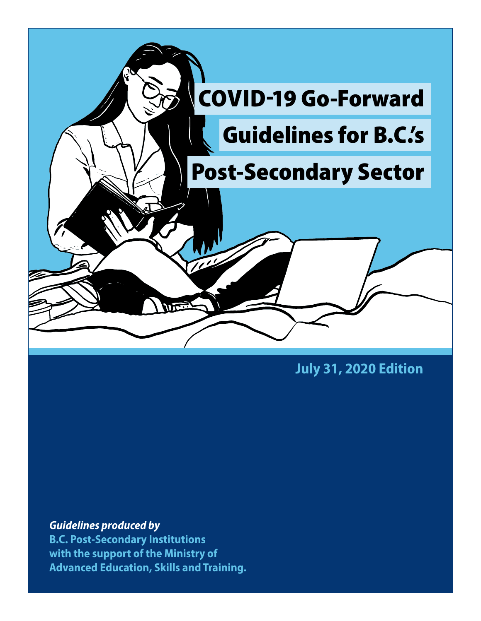

**July 31, 2020 Edition**

*Guidelines produced by*  **B.C. Post-Secondary Institutions with the support of the Ministry of Advanced Education, Skills and Training.**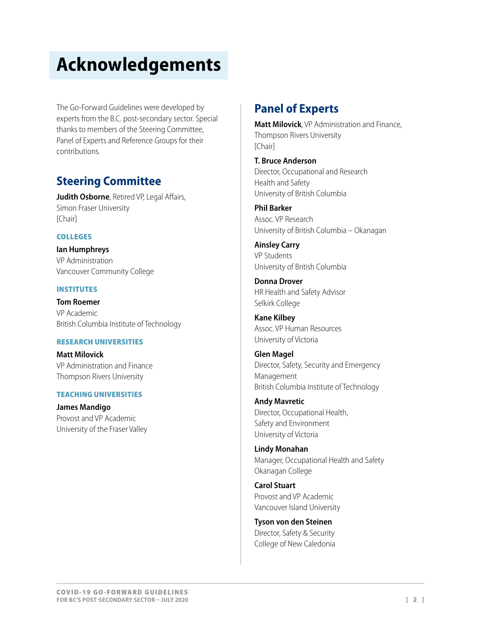# **Acknowledgements**

The Go-Forward Guidelines were developed by experts from the B.C. post-secondary sector. Special thanks to members of the Steering Committee, Panel of Experts and Reference Groups for their contributions.

## **Steering Committee**

**Judith Osborne**, Retired VP, Legal Affairs, Simon Fraser University [Chair]

### COLLEGES

**Ian Humphreys** VP Administration Vancouver Community College

### INSTITUTES

**Tom Roemer** VP Academic British Columbia Institute of Technology

### RESEARCH UNIVERSITIES

**Matt Milovick** VP Administration and Finance Thompson Rivers University

### TEACHING UNIVERSITIES

**James Mandigo** Provost and VP Academic University of the Fraser Valley

## **Panel of Experts**

**Matt Milovick**, VP Administration and Finance, Thompson Rivers University [Chair]

**T. Bruce Anderson** Director, Occupational and Research Health and Safety University of British Columbia

**Phil Barker** Assoc. VP Research University of British Columbia – Okanagan

**Ainsley Carry** VP Students University of British Columbia

**Donna Drover** HR Health and Safety Advisor Selkirk College

**Kane Kilbey** Assoc. VP Human Resources University of Victoria

**Glen Magel** Director, Safety, Security and Emergency Management British Columbia Institute of Technology

**Andy Mavretic**  Director, Occupational Health, Safety and Environment University of Victoria

**Lindy Monahan** Manager, Occupational Health and Safety Okanagan College

**Carol Stuart** Provost and VP Academic Vancouver Island University

**Tyson von den Steinen** Director, Safety & Security College of New Caledonia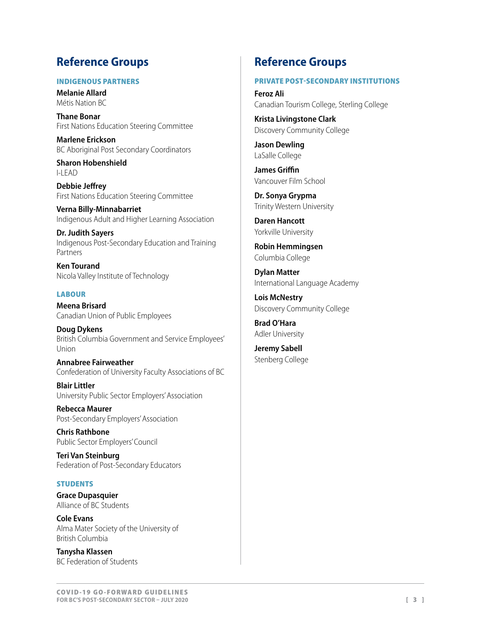# **Reference Groups**

### INDIGENOUS PARTNERS

**Melanie Allard** Métis Nation BC

**Thane Bonar** First Nations Education Steering Committee

**Marlene Erickson** BC Aboriginal Post Secondary Coordinators

**Sharon Hobenshield**  $I-IFAD$ 

**Debbie Jeffrey** First Nations Education Steering Committee

**Verna Billy-Minnabarriet** Indigenous Adult and Higher Learning Association

**Dr. Judith Sayers** Indigenous Post-Secondary Education and Training Partners

**Ken Tourand** Nicola Valley Institute of Technology

### **LABOUR**

**Meena Brisard** Canadian Union of Public Employees

**Doug Dykens** British Columbia Government and Service Employees' Union

**Annabree Fairweather** Confederation of University Faculty Associations of BC

**Blair Littler** University Public Sector Employers' Association

**Rebecca Maurer** Post-Secondary Employers' Association

**Chris Rathbone** Public Sector Employers' Council

**Teri Van Steinburg** Federation of Post-Secondary Educators

### **STUDENTS**

**Grace Dupasquier** Alliance of BC Students

**Cole Evans** Alma Mater Society of the University of British Columbia

**Tanysha Klassen** BC Federation of Students

### **Reference Groups**

### PRIVATE POST-SECONDARY INSTITUTIONS

**Feroz Ali** Canadian Tourism College, Sterling College

**Krista Livingstone Clark** Discovery Community College

**Jason Dewling** LaSalle College

**James Griffin** Vancouver Film School

**Dr. Sonya Grypma** Trinity Western University

**Daren Hancott** Yorkville University

**Robin Hemmingsen** Columbia College

**Dylan Matter** International Language Academy

**Lois McNestry**  Discovery Community College

**Brad O'Hara** Adler University

**Jeremy Sabell** Stenberg College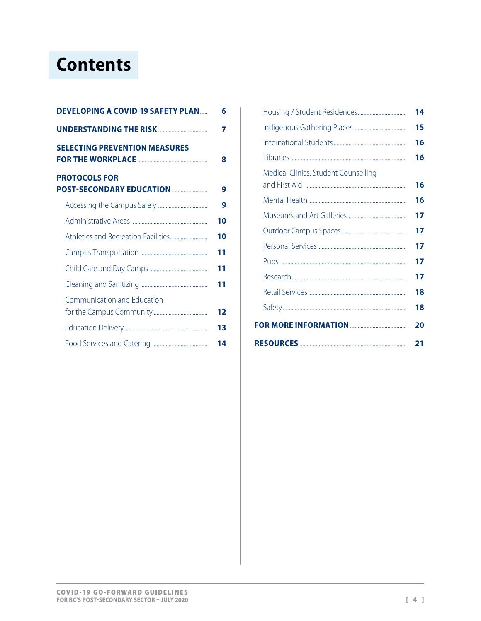# **Contents**

| <b>DEVELOPING A COVID-19 SAFETY PLAN</b>                 | 6  |
|----------------------------------------------------------|----|
| <b>UNDERSTANDING THE RISK </b>                           | 7  |
| <b>SELECTING PREVENTION MEASURES</b>                     | 8  |
| <b>PROTOCOLS FOR</b><br><b>POST-SECONDARY EDUCATION </b> | 9  |
|                                                          | 9  |
|                                                          | 10 |
|                                                          | 10 |
|                                                          | 11 |
|                                                          | 11 |
|                                                          | 11 |
| Communication and Education                              |    |
|                                                          | 12 |
|                                                          | 13 |
|                                                          | 14 |

|                                      | 14 |
|--------------------------------------|----|
|                                      | 15 |
|                                      | 16 |
|                                      | 16 |
| Medical Clinics, Student Counselling | 16 |
|                                      | 16 |
|                                      | 17 |
|                                      | 17 |
|                                      | 17 |
|                                      | 17 |
|                                      | 17 |
|                                      | 18 |
|                                      | 18 |
|                                      | 20 |
|                                      | 21 |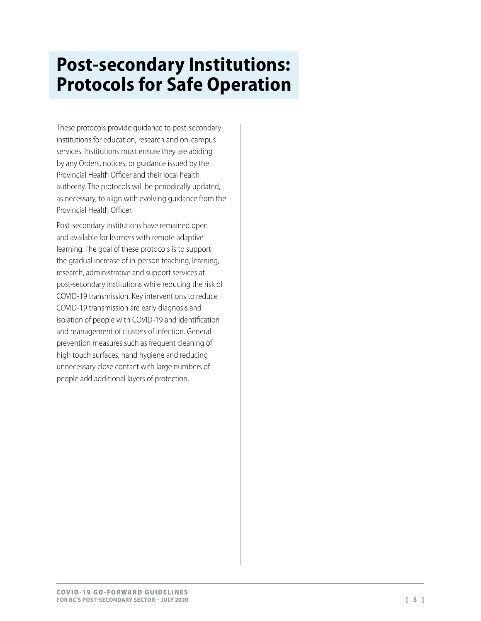# **Post-secondary Institutions: Protocols for Safe Operation**

These protocols provide guidance to post-secondary institutions for education, research and on-campus services. Institutions must ensure they are abiding by any [Orders, notices, or guidance issued by the](https://www2.gov.bc.ca/gov/content/health/about-bc-s-health-care-system/office-of-the-provincial-health-officer/current-health-topics/covid-19-novel-coronavirus)  [Provincial Health Officer](https://www2.gov.bc.ca/gov/content/health/about-bc-s-health-care-system/office-of-the-provincial-health-officer/current-health-topics/covid-19-novel-coronavirus) and their local health authority. The protocols will be periodically updated, as necessary, to align with evolving guidance from the Provincial Health Officer.

Post-secondary institutions have remained open and available for learners with remote adaptive learning. The goal of these protocols is to support the gradual increase of in-person teaching, learning, research, administrative and support services at post-secondary institutions while reducing the risk of COVID-19 transmission. Key interventions to reduce COVID-19 transmission are early diagnosis and isolation of people with COVID-19 and identification and management of clusters of infection. General prevention measures such as frequent cleaning of high touch surfaces, hand hygiene and reducing unnecessary close contact with large numbers of people add additional layers of protection.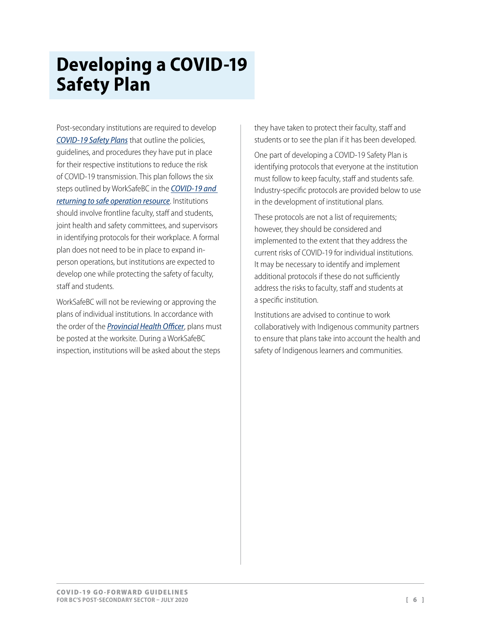# <span id="page-5-0"></span>**Developing a COVID-19 Safety Plan**

Post-secondary institutions are required to develop *[COVID-19 Safety Plan](https://www.worksafebc.com/en/resources/health-safety/checklist/covid-19-safety-plan?lang=en)s* that outline the policies, guidelines, and procedures they have put in place for their respective institutions to reduce the risk of COVID-19 transmission. This plan follows the six steps outlined by WorkSafeBC in the *[COVID-19 and](https://www.worksafebc.com/en/about-us/covid-19-updates/covid-19-returning-safe-operation)  [returning to safe operation](https://www.worksafebc.com/en/about-us/covid-19-updates/covid-19-returning-safe-operation) resource*. Institutions should involve frontline faculty, staff and students, joint health and safety committees, and supervisors in identifying protocols for their workplace. A formal plan does not need to be in place to expand inperson operations, but institutions are expected to develop one while protecting the safety of faculty, staff and students.

WorkSafeBC will not be reviewing or approving the plans of individual institutions. In accordance with the order of the *[Provincial Health Officer](https://www2.gov.bc.ca/gov/content/health/about-bc-s-health-care-system/office-of-the-provincial-health-officer/current-health-topics/covid-19-novel-coronavirus)*, plans must be posted at the worksite. During a WorkSafeBC inspection, institutions will be asked about the steps

they have taken to protect their faculty, staff and students or to see the plan if it has been developed.

One part of developing a COVID-19 Safety Plan is identifying protocols that everyone at the institution must follow to keep faculty, staff and students safe. Industry-specific protocols are provided below to use in the development of institutional plans.

These protocols are not a list of requirements; however, they should be considered and implemented to the extent that they address the current risks of COVID-19 for individual institutions. It may be necessary to identify and implement additional protocols if these do not sufficiently address the risks to faculty, staff and students at a specific institution.

Institutions are advised to continue to work collaboratively with Indigenous community partners to ensure that plans take into account the health and safety of Indigenous learners and communities.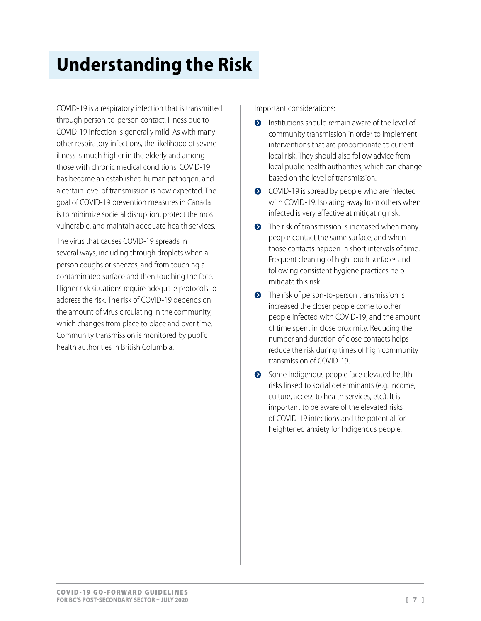# <span id="page-6-0"></span>**Understanding the Risk**

COVID-19 is a respiratory infection that is transmitted through person-to-person contact. Illness due to COVID-19 infection is generally mild. As with many other respiratory infections, the likelihood of severe illness is much higher in the elderly and among those with chronic medical conditions. COVID-19 has become an established human pathogen, and a certain level of transmission is now expected. The goal of COVID-19 prevention measures in Canada is to minimize societal disruption, protect the most vulnerable, and maintain adequate health services.

The virus that causes COVID-19 spreads in several ways, including through droplets when a person coughs or sneezes, and from touching a contaminated surface and then touching the face. Higher risk situations require adequate protocols to address the risk. The risk of COVID-19 depends on the amount of virus circulating in the community, which changes from place to place and over time. Community transmission is monitored by public health authorities in British Columbia.

Important considerations:

- **•** Institutions should remain aware of the level of community transmission in order to implement interventions that are proportionate to current local risk. They should also follow advice from local public health authorities, which can change based on the level of transmission.
- $\bullet$  COVID-19 is spread by people who are infected with COVID-19. Isolating away from others when infected is very effective at mitigating risk.
- $\bullet$  The risk of transmission is increased when many people contact the same surface, and when those contacts happen in short intervals of time. Frequent cleaning of high touch surfaces and following consistent hygiene practices help mitigate this risk.
- **•** The risk of person-to-person transmission is increased the closer people come to other people infected with COVID-19, and the amount of time spent in close proximity. Reducing the number and duration of close contacts helps reduce the risk during times of high community transmission of COVID-19.
- Some Indigenous people face elevated health risks linked to social determinants (e.g. income, culture, access to health services, etc.). It is important to be aware of the elevated risks of COVID-19 infections and the potential for heightened anxiety for Indigenous people.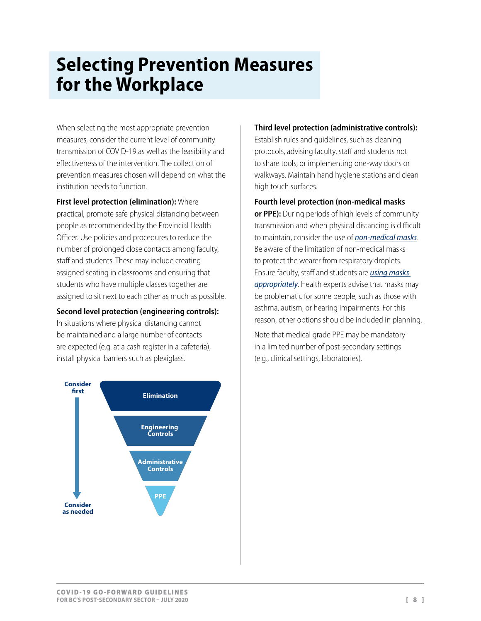# <span id="page-7-0"></span>**Selecting Prevention Measures for the Workplace**

When selecting the most appropriate prevention measures, consider the current level of community transmission of COVID-19 as well as the feasibility and effectiveness of the intervention. The collection of prevention measures chosen will depend on what the institution needs to function.

### **First level protection (elimination):** Where

practical, promote safe physical distancing between people as recommended by the Provincial Health Officer. Use policies and procedures to reduce the number of prolonged close contacts among faculty, staff and students. These may include creating assigned seating in classrooms and ensuring that students who have multiple classes together are assigned to sit next to each other as much as possible.

### **Second level protection (engineering controls):**

In situations where physical distancing cannot be maintained and a large number of contacts are expected (e.g. at a cash register in a cafeteria), install physical barriers such as plexiglass.



### **Third level protection (administrative controls):**

Establish rules and guidelines, such as cleaning protocols, advising faculty, staff and students not to share tools, or implementing one-way doors or walkways. Maintain hand hygiene stations and clean high touch surfaces.

### **Fourth level protection (non-medical masks**

**or PPE):** During periods of high levels of community transmission and when physical distancing is difficult to maintain, consider the use of *[non-medical masks](https://www.worksafebc.com/en/resources/health-safety/information-sheets/covid-19-health-safety-selecting-using-masks?lang=en)*. Be aware of the limitation of non-medical masks to protect the wearer from respiratory droplets. Ensure faculty, staff and students are *[using masks](https://www.worksafebc.com/en/resources/health-safety/posters/help-prevent-spread-covid-19-how-to-use-mask?lang=en)  [appropriately](https://www.worksafebc.com/en/resources/health-safety/posters/help-prevent-spread-covid-19-how-to-use-mask?lang=en)*. Health experts advise that masks may be problematic for some people, such as those with asthma, autism, or hearing impairments. For this reason, other options should be included in planning.

Note that medical grade PPE may be mandatory in a limited number of post-secondary settings (e.g., clinical settings, laboratories).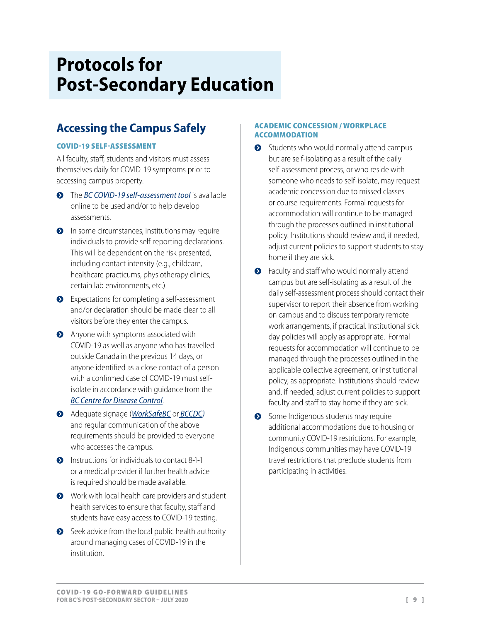# <span id="page-8-0"></span>**Protocols for Post-Secondary Education**

# **Accessing the Campus Safely**

### COVID-19 SELF-ASSESSMENT

All faculty, staff, students and visitors must assess themselves daily for COVID-19 symptoms prior to accessing campus property.

- **•** The *[BC COVID-19 self-assessment tool](https://bc.thrive.health/)* is available online to be used and/or to help develop assessments.
- **O** In some circumstances, institutions may require individuals to provide self-reporting declarations. This will be dependent on the risk presented, including contact intensity (e.g., childcare, healthcare practicums, physiotherapy clinics, certain lab environments, etc.).
- ◆ Expectations for completing a self-assessment and/or declaration should be made clear to all visitors before they enter the campus.
- **•** Anyone with symptoms associated with COVID-19 as well as anyone who has travelled outside Canada in the previous 14 days, or anyone identified as a close contact of a person with a confirmed case of COVID-19 must selfisolate in accordance with guidance from the *[BC Centre for Disease Control](http://www.bccdc.ca/health-info/diseases-conditions/covid-19/about-covid-19/if-you-are-sick)*.
- į Adequate signage (*[WorkSafeBC](https://www.worksafebc.com/en/resources/health-safety/posters/help-prevent-spread-covid-19-entry-check-workers?lang=en&origin=s&returnurl=https%3A%2F%2Fwww.worksafebc.com%2Fen%2Fforms-resources%23sort%3D%2540fcomputeditemdatefield343%2520descending%26f%3Alanguage-facet%3D%5BEnglish%5D%26tags%3DCovid-19%7Ca96b6c96607345c481bb8621425ea03f)* or *[BCCDC\)](http://www.bccdc.ca/Health-Info-Site/Documents/COVID19_DoNotEnterPoster.pdf)*  and regular communication of the above requirements should be provided to everyone who accesses the campus.
- $\bullet$  Instructions for individuals to contact 8-1-1 or a medical provider if further health advice is required should be made available.
- Work with local health care providers and student health services to ensure that faculty, staff and students have easy access to COVID-19 testing.
- $\bullet$  Seek advice from the local public health authority around managing cases of COVID-19 in the institution.

### ACADEMIC CONCESSION / WORKPLACE ACCOMMODATION

- $\bullet$  Students who would normally attend campus but are self-isolating as a result of the daily self-assessment process, or who reside with someone who needs to self-isolate, may request academic concession due to missed classes or course requirements. Formal requests for accommodation will continue to be managed through the processes outlined in institutional policy. Institutions should review and, if needed, adjust current policies to support students to stay home if they are sick.
- **•** Faculty and staff who would normally attend campus but are self-isolating as a result of the daily self-assessment process should contact their supervisor to report their absence from working on campus and to discuss temporary remote work arrangements, if practical. Institutional sick day policies will apply as appropriate. Formal requests for accommodation will continue to be managed through the processes outlined in the applicable collective agreement, or institutional policy, as appropriate. Institutions should review and, if needed, adjust current policies to support faculty and staff to stay home if they are sick.
- Some Indigenous students may require additional accommodations due to housing or community COVID-19 restrictions. For example, Indigenous communities may have COVID-19 travel restrictions that preclude students from participating in activities.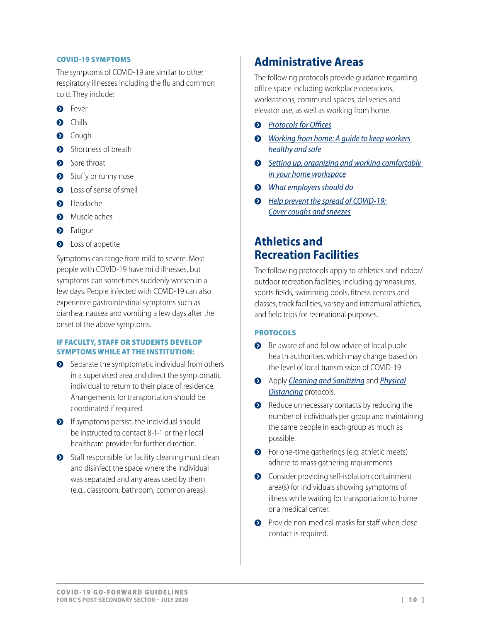#### <span id="page-9-0"></span>COVID-19 SYMPTOMS

The symptoms of COVID-19 are similar to other respiratory illnesses including the flu and common cold. They include:

- **•** Fever
- $\bullet$  Chills
- $\bullet$  Cough
- **•** Shortness of breath
- Sore throat
- Stuffy or runny nose
- **Q** Loss of sense of smell
- **•** Headache
- **O** Muscle aches
- $\bullet$  Fatigue
- **O** Loss of appetite

Symptoms can range from mild to severe. Most people with COVID-19 have mild illnesses, but symptoms can sometimes suddenly worsen in a few days. People infected with COVID-19 can also experience gastrointestinal symptoms such as diarrhea, nausea and vomiting a few days after the onset of the above symptoms.

### IF FACULTY, STAFF OR STUDENTS DEVELOP SYMPTOMS WHILE AT THE INSTITUTION:

- $\bullet$  Separate the symptomatic individual from others in a supervised area and direct the symptomatic individual to return to their place of residence. Arrangements for transportation should be coordinated if required.
- $\bullet$  If symptoms persist, the individual should be instructed to contact 8-1-1 or their local healthcare provider for further direction.
- $\bullet$  Staff responsible for facility cleaning must clean and disinfect the space where the individual was separated and any areas used by them (e.g., classroom, bathroom, common areas).

## **Administrative Areas**

The following protocols provide guidance regarding office space including workplace operations, workstations, communal spaces, deliveries and elevator use, as well as working from home.

- $\odot$  *[Protocols for Offices](https://www.worksafebc.com/en/about-us/covid-19-updates/covid-19-returning-safe-operation/offices)*
- **◆** *Working from home: A quide to keep workers [healthy and safe](https://www.worksafebc.com/en/resources/health-safety/information-sheets/working-from-home-guide-keeping-workers-healthy-safe?lang=en)*
- $\odot$  Setting up, organizing and working comfortably *[in your home workspace](https://www.worksafebc.com/en/resources/health-safety/information-sheets/setting-up-home-workspace?lang=en)*
- į *[What employers should do](https://www.worksafebc.com/sitecore/content/home/about-us/covid-19-updates/health-and-safety/what-employers-should-do)*
- **•** *Help prevent the spread of COVID-19: [Cover coughs and sneezes](https://www.worksafebc.com/en/resources/health-safety/posters/help-prevent-spread-covid-19-cover-coughs-sneezes?lang=en)*

## **Athletics and Recreation Facilities**

The following protocols apply to athletics and indoor/ outdoor recreation facilities, including gymnasiums, sports fields, swimming pools, fitness centres and classes, track facilities, varsity and intramural athletics, and field trips for recreational purposes.

### **PROTOCOLS**

- $\bullet$  Be aware of and follow advice of local public health authorities, which may change based on the level of local transmission of COVID-19
- į Apply *[Cleaning and Sanitizing](#page-10-1)* and *[Physical](#page-17-1) [Distancing](#page-17-1)* protocols.
- Reduce unnecessary contacts by reducing the number of individuals per group and maintaining the same people in each group as much as possible.
- **•** For one-time gatherings (e.g. athletic meets) adhere to mass gathering requirements.
- **•** Consider providing self-isolation containment area(s) for individuals showing symptoms of illness while waiting for transportation to home or a medical center.
- $\bullet$  Provide non-medical masks for staff when close contact is required.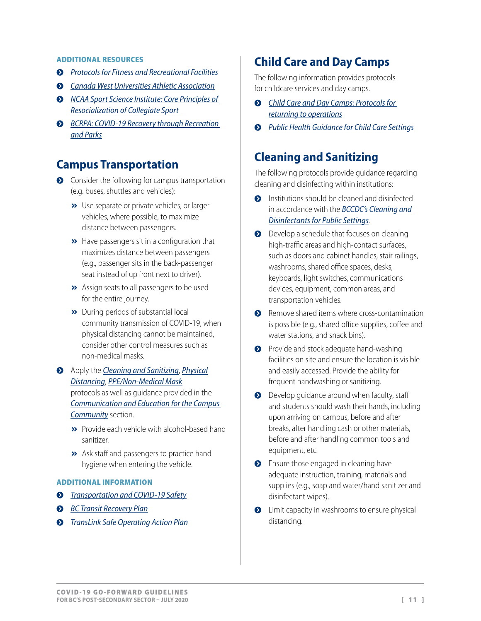#### <span id="page-10-0"></span>ADDITIONAL RESOURCES

- **•** [Protocols for Fitness and Recreational Facilities](https://www.worksafebc.com/en/about-us/covid-19-updates/covid-19-returning-safe-operation/gyms-and-fitness-centres)
- $\odot$  *[Canada West Universities Athletic Association](https://canadawest.org/news/2020/6/8/cross-country-canada-west-cancels-2020-21-first-term-team-competitions.aspx)*
- **••** *NCAA Sport Science Institute: Core Principles of [Resocialization of Collegiate Sport](http://www.ncaa.org/sport-science-institute/core-principles-resocialization-collegiate-sport)*
- $\odot$  *BCRPA: COVID-19 Recovery through Recreation [and Parks](https://www.bcrpa.bc.ca/COVIDGuideline)*

### **Campus Transportation**

- $\bullet$  Consider the following for campus transportation (e.g. buses, shuttles and vehicles):
	- **»** Use separate or private vehicles, or larger vehicles, where possible, to maximize distance between passengers.
	- **»** Have passengers sit in a configuration that maximizes distance between passengers (e.g., passenger sits in the back-passenger seat instead of up front next to driver).
	- >> Assign seats to all passengers to be used for the entire journey.
	- **»** During periods of substantial local community transmission of COVID-19, when physical distancing cannot be maintained, consider other control measures such as non-medical masks.
- į Apply the *[Cleaning and Sanitizing](#page-10-1)*, *[Physical](#page-17-1) [Distancing](#page-17-1)*, *[PPE/Non-Medical Mask](#page-17-2)* protocols as well as guidance provided in the *Communication and Education for the Campus Community* section.
	- **>>** Provide each ve[hicle w](http://icle w)ith alcohol-based hand sanitizer.
	- **>>** Ask staff and passengers to practice hand hygiene when entering the vehicle.

#### ADDITIONAL INFORMATION

- **•** *[Transportation and COVID-19 Safety](https://www.worksafebc.com/en/about-us/covid-19-updates/covid-19-industry-information/transportation)*
- $B$  *[BC Transit](https://www.bctransit.com/documents/1529709296898) Recovery Plan*
- į *[TransLink Safe Operating Action Plan](https://new.translink.ca/-/media/translink/documents/rider-guide/covid19/covid19-safe-operations-program.pdf )*

### **Child Care and Day Camps**

The following information provides protocols for childcare services and day camps.

- į *[Child Care and Day Camps: Protocols for](https://www.worksafebc.com/en/about-us/covid-19-updates/covid-19-returning-safe-operation/child-care)  [returning to operations](https://www.worksafebc.com/en/about-us/covid-19-updates/covid-19-returning-safe-operation/child-care)*
- į *[Public Health Guidance for Child Care Settings](https://www2.gov.bc.ca/assets/gov/health/about-bc-s-health-care-system/office-of-the-provincial-health-officer/covid-19/covid-19-pho-guidance-childcare.pdf)*

### <span id="page-10-1"></span>**Cleaning and Sanitizing**

The following protocols provide guidance regarding cleaning and disinfecting within institutions:

- $\bullet$  Institutions should be cleaned and disinfected in accordance with the *BCCDC's [Cleaning and](http://www.bccdc.ca/Health-Info-Site/Documents/CleaningDisinfecting_PublicSettings.pdf)  [Disinfectants for Public Settings](http://www.bccdc.ca/Health-Info-Site/Documents/CleaningDisinfecting_PublicSettings.pdf)*.
- $\bullet$  Develop a schedule that focuses on cleaning high-traffic areas and high-contact surfaces, such as doors and cabinet handles, stair railings, washrooms, shared office spaces, desks, keyboards, light switches, communications devices, equipment, common areas, and transportation vehicles.
- **•** Remove shared items where cross-contamination is possible (e.g., shared office supplies, coffee and water stations, and snack bins).
- **•** Provide and stock adequate hand-washing facilities on site and ensure the location is visible and easily accessed. Provide the ability for frequent handwashing or sanitizing.
- $\bullet$  Develop guidance around when faculty, staff and students should wash their hands, including upon arriving on campus, before and after breaks, after handling cash or other materials, before and after handling common tools and equipment, etc.
- $\bullet$  Ensure those engaged in cleaning have adequate instruction, training, materials and supplies (e.g., soap and water/hand sanitizer and disinfectant wipes).
- $\bullet$  Limit capacity in washrooms to ensure physical distancing.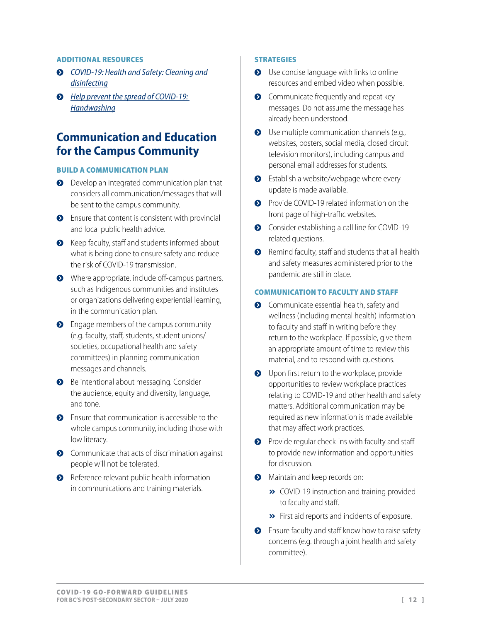#### <span id="page-11-0"></span>ADDITIONAL RESOURCES

- į *[COVID-19: Health and Safety: Cleaning and](https://www.worksafebc.com/en/resources/health-safety/information-sheets/covid-19-health-safety-cleaning-disinfecting?lang=en)  [disinfecting](https://www.worksafebc.com/en/resources/health-safety/information-sheets/covid-19-health-safety-cleaning-disinfecting?lang=en)*
- $\odot$  *Help prevent the spread of COVID-19: [Handwashing](https://www.worksafebc.com/en/resources/health-safety/posters/help-prevent-spread-covid-19-handwashing?lang=en)*

### **Communication and Education for the Campus Community**

#### BUILD A COMMUNICATION PLAN

- **•** Develop an integrated communication plan that considers all communication/messages that will be sent to the campus community.
- $\bullet$  Ensure that content is consistent with provincial and local public health advice.
- S Keep faculty, staff and students informed about what is being done to ensure safety and reduce the risk of COVID-19 transmission.
- Where appropriate, include off-campus partners, such as Indigenous communities and institutes or organizations delivering experiential learning, in the communication plan.
- **•** Engage members of the campus community (e.g. faculty, staff, students, student unions/ societies, occupational health and safety committees) in planning communication messages and channels.
- **•** Be intentional about messaging. Consider the audience, equity and diversity, language, and tone.
- $\bullet$  Ensure that communication is accessible to the whole campus community, including those with low literacy.
- **•** Communicate that acts of discrimination against people will not be tolerated.
- **•** Reference relevant public health information in communications and training materials.

#### **STRATEGIES**

- $\bullet$  Use concise language with links to online resources and embed video when possible.
- $\bullet$  Communicate frequently and repeat key messages. Do not assume the message has already been understood.
- $\bullet$  Use multiple communication channels (e.g., websites, posters, social media, closed circuit television monitors), including campus and personal email addresses for students.
- $\bullet$  Establish a website/webpage where every update is made available.
- **•** Provide COVID-19 related information on the front page of high-traffic websites.
- **•** Consider establishing a call line for COVID-19 related questions.
- $\bullet$  Remind faculty, staff and students that all health and safety measures administered prior to the pandemic are still in place.

### COMMUNICATION TO FACULTY AND STAFF

- $\bullet$  Communicate essential health, safety and wellness (including mental health) information to faculty and staff in writing before they return to the workplace. If possible, give them an appropriate amount of time to review this material, and to respond with questions.
- **O** Upon first return to the workplace, provide opportunities to review workplace practices relating to COVID-19 and other health and safety matters. Additional communication may be required as new information is made available that may affect work practices.
- $\bullet$  Provide regular check-ins with faculty and staff to provide new information and opportunities for discussion.
- **•** Maintain and keep records on:
	- **»** COVID-19 instruction and training provided to faculty and staff.
	- **»** First aid reports and incidents of exposure.
- **•** Ensure faculty and staff know how to raise safety concerns (e.g. through a joint health and safety committee).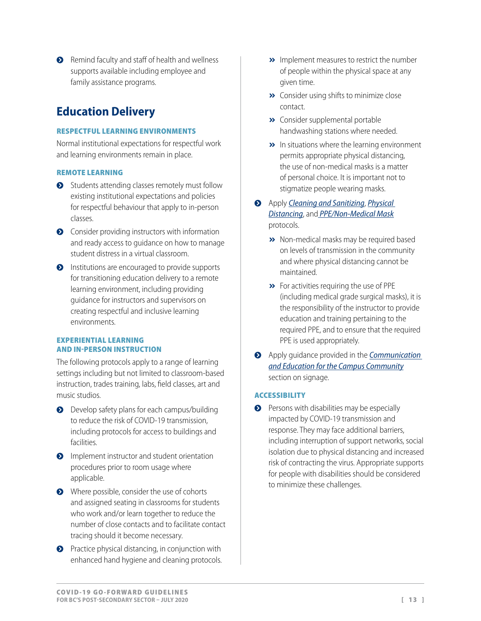<span id="page-12-0"></span>**•** Remind faculty and staff of health and wellness supports available including employee and family assistance programs.

# **Education Delivery**

### RESPECTFUL LEARNING ENVIRONMENTS

Normal institutional expectations for respectful work and learning environments remain in place.

### REMOTE LEARNING

- Students attending classes remotely must follow existing institutional expectations and policies for respectful behaviour that apply to in-person classes.
- **•** Consider providing instructors with information and ready access to guidance on how to manage student distress in a virtual classroom.
- **•** Institutions are encouraged to provide supports for transitioning education delivery to a remote learning environment, including providing guidance for instructors and supervisors on creating respectful and inclusive learning environments.

#### EXPERIENTIAL LEARNING AND IN-PERSON INSTRUCTION

The following protocols apply to a range of learning settings including but not limited to classroom-based instruction, trades training, labs, field classes, art and music studios.

- **•** Develop safety plans for each campus/building to reduce the risk of COVID-19 transmission, including protocols for access to buildings and facilities.
- **O** Implement instructor and student orientation procedures prior to room usage where applicable.
- Where possible, consider the use of cohorts and assigned seating in classrooms for students who work and/or learn together to reduce the number of close contacts and to facilitate contact tracing should it become necessary.
- $\bullet$  Practice physical distancing, in conjunction with enhanced hand hygiene and cleaning protocols.
- » Implement measures to restrict the number of people within the physical space at any given time.
- **»** Consider using shifts to minimize close contact.
- **»** Consider supplemental portable handwashing stations where needed.
- $\rightarrow$  In situations where the learning environment permits appropriate physical distancing, the use of non-medical masks is a matter of personal choice. It is important not to stigmatize people wearing masks.
- į Apply *[Cleaning and Sanitizing](#page-10-1)*, *[Physical](#page-17-1)  [Distancing](#page-17-1)*, and *[PPE/Non-Medical Mask](#page-17-2)* protocols.
	- > Non-medical masks may be required based on levels of transmission in the community and where physical distancing cannot be maintained.
	- $\rightarrow$  For activities requiring the use of PPE (including medical grade surgical masks), it is the responsibility of the instructor to provide education and training pertaining to the required PPE, and to ensure that the required PPE is used appropriately.
- į Apply guidance provided in the *Communication and Education for the Campus Community* section on signage.

### ACCESSIBILITY

 $\bullet$  Persons with disabilities may be especially impacted by COVID-19 transmission and response. They may face additional barriers, including interruption of support networks, social isolation due to physical distancing and increased risk of contracting the virus. Appropriate supports for people with disabilities should be considered to minimize these challenges.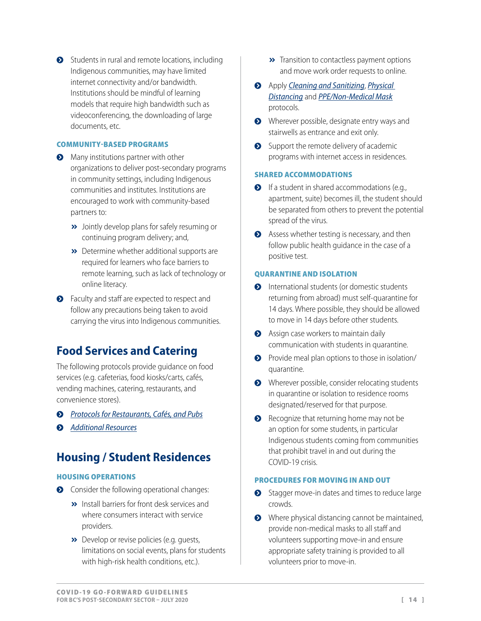<span id="page-13-0"></span> $\bullet$  Students in rural and remote locations, including Indigenous communities, may have limited internet connectivity and/or bandwidth. Institutions should be mindful of learning models that require high bandwidth such as videoconferencing, the downloading of large documents, etc.

### COMMUNITY-BASED PROGRAMS

- Many institutions partner with other organizations to deliver post-secondary programs in community settings, including Indigenous communities and institutes. Institutions are encouraged to work with community-based partners to:
	- **»** Jointly develop plans for safely resuming or continuing program delivery; and,
	- **»** Determine whether additional supports are required for learners who face barriers to remote learning, such as lack of technology or online literacy.
- **•** Faculty and staff are expected to respect and follow any precautions being taken to avoid carrying the virus into Indigenous communities.

## **Food Services and Catering**

The following protocols provide guidance on food services (e.g. cafeterias, food kiosks/carts, cafés, vending machines, catering, restaurants, and convenience stores).

į *[Protocols for Restaurants, Cafés, and Pubs](https://www.worksafebc.com/en/about-us/covid-19-updates/covid-19-returning-safe-operation/restaurant-cafes-pubs#collapse-0E6844D5B1E8459A8A62F0BD9F4256E9)*

**•** *[Additional Resources](https://www.worksafebc.com/en/about-us/covid-19-updates/covid-19-returning-safe-operation/restaurant-cafes-pubs#collapse-9AEDDD0C50674F478C5B7718AD841D2C)* 

## **Housing / Student Residences**

### HOUSING OPERATIONS

- **•** Consider the following operational changes:
	- **»** Install barriers for front desk services and where consumers interact with service providers.
	- **»** Develop or revise policies (e.g. quests, limitations on social events, plans for students with high-risk health conditions, etc.).
- **»** Transition to contactless payment options and move work order requests to online.
- į Apply *[Cleaning and Sanitizing](#page-10-1)*, *[Physical](#page-17-1)  [Distancing](#page-17-1)* and *[PPE/Non-Medical Mask](#page-17-2)* protocols.
- Wherever possible, designate entry ways and stairwells as entrance and exit only.
- $\bullet$  Support the remote delivery of academic programs with internet access in residences.

### SHARED ACCOMMODATIONS

- $\bullet$  If a student in shared accommodations (e.g., apartment, suite) becomes ill, the student should be separated from others to prevent the potential spread of the virus.
- $\bullet$  Assess whether testing is necessary, and then follow public health guidance in the case of a positive test.

#### QUARANTINE AND ISOLATION

- **O** International students (or domestic students returning from abroad) must self-quarantine for 14 days. Where possible, they should be allowed to move in 14 days before other students.
- **•** Assign case workers to maintain daily communication with students in quarantine.
- **•** Provide meal plan options to those in isolation/ quarantine.
- Wherever possible, consider relocating students in quarantine or isolation to residence rooms designated/reserved for that purpose.
- Recognize that returning home may not be an option for some students, in particular Indigenous students coming from communities that prohibit travel in and out during the COVID-19 crisis.

#### PROCEDURES FOR MOVING IN AND OUT

- Stagger move-in dates and times to reduce large crowds.
- Where physical distancing cannot be maintained, provide non-medical masks to all staff and volunteers supporting move-in and ensure appropriate safety training is provided to all volunteers prior to move-in.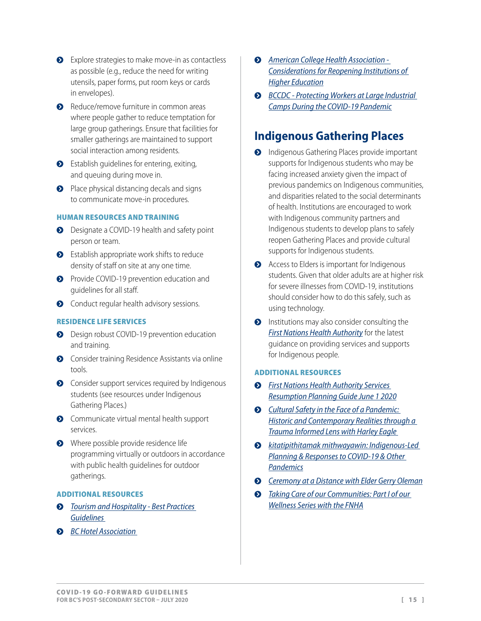- <span id="page-14-0"></span>• Explore strategies to make move-in as contactless as possible (e.g., reduce the need for writing utensils, paper forms, put room keys or cards in envelopes).
- **•** Reduce/remove furniture in common areas where people gather to reduce temptation for large group gatherings. Ensure that facilities for smaller gatherings are maintained to support social interaction among residents.
- **•** Establish guidelines for entering, exiting, and queuing during move in.
- $\bullet$  Place physical distancing decals and signs to communicate move-in procedures.

### HUMAN RESOURCES AND TRAINING

- **•** Designate a COVID-19 health and safety point person or team.
- $\bullet$  Establish appropriate work shifts to reduce density of staff on site at any one time.
- **•** Provide COVID-19 prevention education and guidelines for all staff.
- **•** Conduct regular health advisory sessions.

### RESIDENCE LIFE SERVICES

- **•** Design robust COVID-19 prevention education and training.
- **•** Consider training Residence Assistants via online tools.
- **•** Consider support services required by Indigenous students (see resources under Indigenous Gathering Places.)
- **O** Communicate virtual mental health support services.
- $\bullet$  Where possible provide residence life programming virtually or outdoors in accordance with public health guidelines for outdoor gatherings.

### ADDITIONAL RESOURCES

- į *[Tourism and Hospitality Best Practices](https://www.bcha.com/uploads/1/2/6/6/126614051/bcha_tourism_and_hospitality_covid-19_health_and_safety_best_practice.pdf)  [Guidelines](https://www.bcha.com/uploads/1/2/6/6/126614051/bcha_tourism_and_hospitality_covid-19_health_and_safety_best_practice.pdf)*
- $\bullet$  *BC* Hotel Association
- $\odot$  *American College Health Association -[Considerations for Reopening Institutions of](https://www.acha.org/documents/resources/guidelines/ACHA_Considerations_for_Reopening_IHEs_in_the_COVID-19_Era_May2020.pdf)  [Higher Education](https://www.acha.org/documents/resources/guidelines/ACHA_Considerations_for_Reopening_IHEs_in_the_COVID-19_Era_May2020.pdf)*
- **•** *BCCDC Protecting Workers at Large Industrial [Camps During the COVID-19 Pandemic](https://www2.gov.bc.ca/assets/gov/health/about-bc-s-health-care-system/office-of-the-provincial-health-officer/covid-19/covid-19-pho-guidance-large-industrial-work-camps.pdf)*

## **Indigenous Gathering Places**

- **•** Indigenous Gathering Places provide important supports for Indigenous students who may be facing increased anxiety given the impact of previous pandemics on Indigenous communities, and disparities related to the social determinants of health. Institutions are encouraged to work with Indigenous community partners and Indigenous students to develop plans to safely reopen Gathering Places and provide cultural supports for Indigenous students.
- **•** Access to Elders is important for Indigenous students. Given that older adults are at higher risk for severe illnesses from COVID-19, institutions should consider how to do this safely, such as using technology.
- **•** Institutions may also consider consulting the *[First Nations Health Authority](https://www.fnha.ca/what-we-do/communicable-disease-control/coronavirus)* for the latest guidance on providing services and supports for Indigenous people.

### ADDITIONAL RESOURCES

- $\odot$  *First Nations Health Authority Services [Resumption Planning Guide June 1 2020](https://www.fnha.ca/Documents/FNHA-Services-Resumption-Planning-Guide.pdf)*
- į *[Cultural Safety in the Face of a Pandemic:](https://learningcircle.ubc.ca/2020/01/24/mar312020-harley-eagle/)  [Historic and Contemporary Realities through a](https://learningcircle.ubc.ca/2020/01/24/mar312020-harley-eagle/)  [Trauma Informed Lens with Harley Eagle](https://learningcircle.ubc.ca/2020/01/24/mar312020-harley-eagle/)*
- į *[kitatipithitamak mithwayawin: Indigenous-Led](https://learningcircle.ubc.ca/2020/05/01/kitatipithitamak-mithwayawin-indigenous-led-planning-and-responses-to-covid-19-and-other-pandemics-then-now-and-into-the-future/)  [Planning & Responses to COVID-19 & Other](https://learningcircle.ubc.ca/2020/05/01/kitatipithitamak-mithwayawin-indigenous-led-planning-and-responses-to-covid-19-and-other-pandemics-then-now-and-into-the-future/)  [Pandemics](https://learningcircle.ubc.ca/2020/05/01/kitatipithitamak-mithwayawin-indigenous-led-planning-and-responses-to-covid-19-and-other-pandemics-then-now-and-into-the-future/)*
- $\odot$  *[Ceremony at a Distance with Elder Gerry Oleman](https://learningcircle.ubc.ca/2020/04/14/ceremony-at-a-distance-elder-gerry-oleman/)*
- $\odot$  *Taking Care of our Communities: Part I of our [Wellness Series with the FNHA](https://learningcircle.ubc.ca/2020/03/27/taking-care-of-our-communities-a-wellness-series-with-the-fnha-ocmo-office-and-guests/)*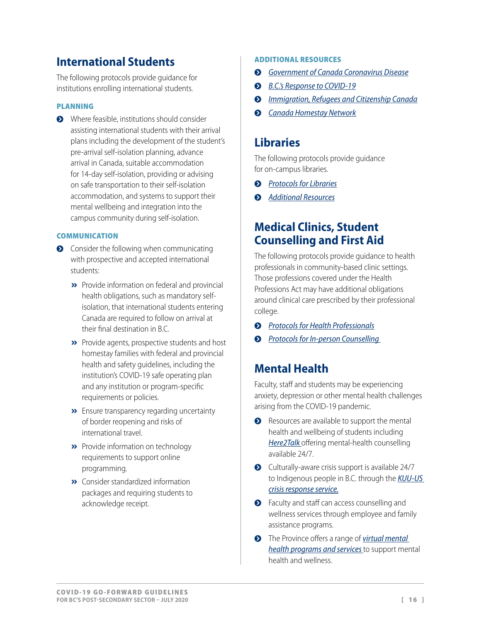## <span id="page-15-0"></span>**International Students**

The following protocols provide guidance for institutions enrolling international students.

### PLANNING

**•** Where feasible, institutions should consider assisting international students with their arrival plans including the development of the student's pre-arrival self-isolation planning, advance arrival in Canada, suitable accommodation for 14-day self-isolation, providing or advising on safe transportation to their self-isolation accommodation, and systems to support their mental wellbeing and integration into the campus community during self-isolation.

#### **COMMUNICATION**

- **•** Consider the following when communicating with prospective and accepted international students:
	- **»** Provide information on federal and provincial health obligations, such as mandatory selfisolation, that international students entering Canada are required to follow on arrival at their final destination in B.C.
	- **»** Provide agents, prospective students and host homestay families with federal and provincial health and safety guidelines, including the institution's COVID-19 safe operating plan and any institution or program-specific requirements or policies.
	- $\rightarrow$  Ensure transparency regarding uncertainty of border reopening and risks of international travel.
	- **»** Provide information on technology requirements to support online programming.
	- **»** Consider standardized information packages and requiring students to acknowledge receipt.

### ADDITIONAL RESOURCES

- į *[Government of Canada Coronavirus Disease](https://www.canada.ca/en/public-health/services/diseases/coronavirus-disease-covid-19.html)*
- **8.** [B.C.'s Response to COVID-19](https://www2.gov.bc.ca/gov/content/safety/emergency-preparedness-response-recovery/covid-19-provincial-support)
- **<sup>3</sup>** *[Immigration, Refugees and Citizenship Canada](https://www.canada.ca/en/immigration-refugees-citizenship.html)*
- $\odot$  *[Canada Homestay Network](https://canadahomestaynetwork.ca/host-covid-19/)*

### **Libraries**

The following protocols provide guidance for on-campus libraries.

- $\odot$  *[Protocols for Libraries](https://www.worksafebc.com/en/about-us/covid-19-updates/covid-19-returning-safe-operation/arts-and-cultural-facilities#collapse-DE4EA76A7F7446AE9833B544E58DEFEA)*
- $\odot$  *[Additional Resources](https://www.worksafebc.com/en/about-us/covid-19-updates/covid-19-returning-safe-operation/arts-and-cultural-facilities#collapse-E27723F9182348A98EEFBD0F8FD36F6A)*

### **Medical Clinics, Student Counselling and First Aid**

The following protocols provide guidance to health professionals in community-based clinic settings. Those professions covered under the Health Professions Act may have additional obligations around clinical care prescribed by their professional college.

- **•** [Protocols for Health Professionals](https://www.worksafebc.com/en/about-us/covid-19-updates/covid-19-returning-safe-operation/health-professionals#collapse-ABD7454E94F2476387428B6FA213E31C)
- $\odot$  *Protocols for In-person Counselling*

### **Mental Health**

Faculty, staff and students may be experiencing anxiety, depression or other mental health challenges arising from the COVID-19 pandemic.

- Resources are available to support the mental health and wellbeing of students including *[Here2Talk](https://here2talk.ca/home)* offering mental-health counselling available 24/7.
- $\bullet$  Culturally-aware crisis support is available 24/7 to Indigenous people in B.C. through the *[KUU-US](https://www.kuu-uscrisisline.ca/?bcgovtm=20200319_GCPE_AM_COVID_4_NOTIFICATION_BCGOV_BCGOV_EN_BC__NOTIFICATION)  [crisis response service.](https://www.kuu-uscrisisline.ca/?bcgovtm=20200319_GCPE_AM_COVID_4_NOTIFICATION_BCGOV_BCGOV_EN_BC__NOTIFICATION)*
- **•** Faculty and staff can access counselling and wellness services through employee and family assistance programs.
- **•** The Province offers a range of *virtual mental [health programs and services](https://www2.gov.bc.ca/gov/content/health/managing-your-health/mental-health-substance-use/virtual-supports-covid-19?bcgovtm=20200319_GCPE_AM_COVID_4_NOTIFICATION_BCGOV_BCGOV_EN_BC__NOTIFICATION)* to support mental health and wellness.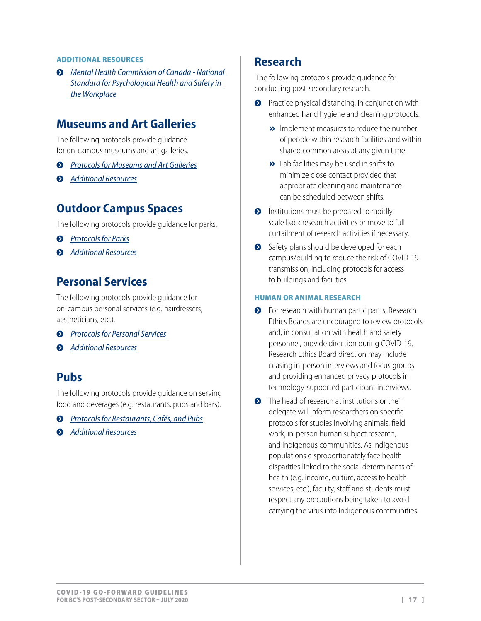#### <span id="page-16-0"></span>ADDITIONAL RESOURCES

į *[Mental Health Commission of Canada - National](https://www.mentalhealthcommission.ca/English/what-we-do/workplace/national-standard)  [Standard for Psychological Health and Safety in](https://www.mentalhealthcommission.ca/English/what-we-do/workplace/national-standard)  [the Workplace](https://www.mentalhealthcommission.ca/English/what-we-do/workplace/national-standard)*

### **Museums and Art Galleries**

The following protocols provide guidance for on-campus museums and art galleries.

- **•** [Protocols for Museums and Art Galleries](https://www.worksafebc.com/en/about-us/covid-19-updates/covid-19-returning-safe-operation/arts-and-cultural-facilities#collapse-4E5D1ED1D04840258E75972699F3BFCA)
- $\odot$  *[Additional Resources](https://www.worksafebc.com/en/about-us/covid-19-updates/covid-19-returning-safe-operation/arts-and-cultural-facilities#collapse-E27723F9182348A98EEFBD0F8FD36F6A)*

### **Outdoor Campus Spaces**

The following protocols provide guidance for parks.

- $\odot$  *[Protocols for Parks](https://www.worksafebc.com/en/about-us/covid-19-updates/covid-19-returning-safe-operation/parks#collapse-01A9AC76CAC045EC9C76F219C8861201)*
- $\odot$  *[Additional Resources](https://www.worksafebc.com/en/about-us/covid-19-updates/covid-19-returning-safe-operation/parks#collapse-A595A580338E4AB1918B41331326F637)*

### **Personal Services**

The following protocols provide guidance for on-campus personal services (e.g. hairdressers, aestheticians, etc.).

- $\odot$  *[Protocols for Personal Services](https://www.worksafebc.com/en/about-us/covid-19-updates/covid-19-returning-safe-operation/personal-services#collapse-5762DD57183647689B683695E09B93A4)*
- $\odot$  *[Additional Resources](https://www.worksafebc.com/en/about-us/covid-19-updates/covid-19-returning-safe-operation/personal-services#collapse-16C0314708DE4D57BD168A6606BB1C3E)*

### **Pubs**

The following protocols provide guidance on serving food and beverages (e.g. restaurants, pubs and bars).

- į *[Protocols for Restaurants, Cafés, and Pubs](https://www.worksafebc.com/en/about-us/covid-19-updates/covid-19-returning-safe-operation/restaurant-cafes-pubs#collapse-0E6844D5B1E8459A8A62F0BD9F4256E9)*
- $\odot$  *[Additional Resources](https://www.worksafebc.com/en/about-us/covid-19-updates/covid-19-returning-safe-operation/restaurant-cafes-pubs#collapse-9AEDDD0C50674F478C5B7718AD841D2C)*

### **Research**

 The following protocols provide guidance for conducting post-secondary research.

- **•** Practice physical distancing, in conjunction with enhanced hand hygiene and cleaning protocols.
	- **»** Implement measures to reduce the number of people within research facilities and within shared common areas at any given time.
	- $\rightarrow$  Lab facilities may be used in shifts to minimize close contact provided that appropriate cleaning and maintenance can be scheduled between shifts.
- $\bullet$  Institutions must be prepared to rapidly scale back research activities or move to full curtailment of research activities if necessary.
- Safety plans should be developed for each campus/building to reduce the risk of COVID-19 transmission, including protocols for access to buildings and facilities.

### HUMAN OR ANIMAL RESEARCH

- **•** For research with human participants, Research Ethics Boards are encouraged to review protocols and, in consultation with health and safety personnel, provide direction during COVID-19. Research Ethics Board direction may include ceasing in-person interviews and focus groups and providing enhanced privacy protocols in technology-supported participant interviews.
- $\bullet$  The head of research at institutions or their delegate will inform researchers on specific protocols for studies involving animals, field work, in-person human subject research, and Indigenous communities. As Indigenous populations disproportionately face health disparities linked to the social determinants of health (e.g. income, culture, access to health services, etc.), faculty, staff and students must respect any precautions being taken to avoid carrying the virus into Indigenous communities.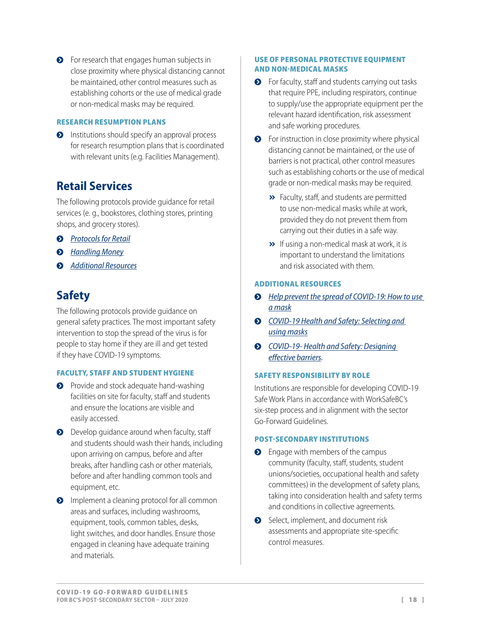<span id="page-17-0"></span>**•** For research that engages human subjects in close proximity where physical distancing cannot be maintained, other control measures such as establishing cohorts or the use of medical grade or non-medical masks may be required.

### RESEARCH RESUMPTION PLANS

**•** Institutions should specify an approval process for research resumption plans that is coordinated with relevant units (e.g. Facilities Management).

## **Retail Services**

The following protocols provide guidance for retail services (e. g., bookstores, clothing stores, printing shops, and grocery stores).

- $\odot$  *[Protocols for Retail](https://www.worksafebc.com/en/about-us/covid-19-updates/covid-19-returning-safe-operation/retail#collapse-A1A0DAF83864433D80DDE7AEED95B34D)*
- $\odot$  *[Handling Money](http://www.bccdc.ca/health-info/diseases-conditions/covid-19/employers-businesses/food-businesses#869)*
- $\odot$  *[Additional Resources](https://www.worksafebc.com/en/about-us/covid-19-updates/covid-19-returning-safe-operation/retail#collapse-E4B95935B2724C169263CCE22ECBCEFE)*

# **Safety**

The following protocols provide guidance on general safety practices. The most important safety intervention to stop the spread of the virus is for people to stay home if they are ill and get tested if they have COVID-19 symptoms.

### FACULTY, STAFF AND STUDENT HYGIENE

- **•** Provide and stock adequate hand-washing facilities on site for faculty, staff and students and ensure the locations are visible and easily accessed.
- **O** Develop quidance around when faculty, staff and students should wash their hands, including upon arriving on campus, before and after breaks, after handling cash or other materials, before and after handling common tools and equipment, etc.
- **O** Implement a cleaning protocol for all common areas and surfaces, including washrooms, equipment, tools, common tables, desks, light switches, and door handles. Ensure those engaged in cleaning have adequate training and materials.

### <span id="page-17-2"></span>USE OF PERSONAL PROTECTIVE EQUIPMENT AND NON-MEDICAL MASKS

- **•** For faculty, staff and students carrying out tasks that require PPE, including respirators, continue to supply/use the appropriate equipment per the relevant hazard identification, risk assessment and safe working procedures.
- $\bullet$  For instruction in close proximity where physical distancing cannot be maintained, or the use of barriers is not practical, other control measures such as establishing cohorts or the use of medical grade or non-medical masks may be required.
	- > Faculty, staff, and students are permitted to use non-medical masks while at work, provided they do not prevent them from carrying out their duties in a safe way.
	- $\rightarrow$  If using a non-medical mask at work, it is important to understand the limitations and risk associated with them.

### ADDITIONAL RESOURCES

- **Help prevent the spread of COVID-19: How to use** *[a mask](https://www.worksafebc.com/en/resources/health-safety/posters/help-prevent-spread-covid-19-how-to-use-mask?lang=en)*
- ◆ *COVID-19 Health and Safety: Selecting and [using masks](https://www.worksafebc.com/en/resources/health-safety/information-sheets/covid-19-health-safety-selecting-using-masks?lang=en)*
- <span id="page-17-1"></span>į *[COVID-19- Health and Safety: Designing](https://www.worksafebc.com/en/resources/health-safety/information-sheets/covid-19-health-safety-designing-effective-barriers?lang=en)  [effective barriers.](https://www.worksafebc.com/en/resources/health-safety/information-sheets/covid-19-health-safety-designing-effective-barriers?lang=en)*

### SAFETY RESPONSIBILITY BY ROLE

Institutions are responsible for developing COVID-19 Safe Work Plans in accordance with WorkSafeBC's six-step process and in alignment with the sector Go-Forward Guidelines.

### POST-SECONDARY INSTITUTIONS

- $\bullet$  Engage with members of the campus community (faculty, staff, students, student unions/societies, occupational health and safety committees) in the development of safety plans, taking into consideration health and safety terms and conditions in collective agreements.
- Select, implement, and document risk assessments and appropriate site-specific control measures.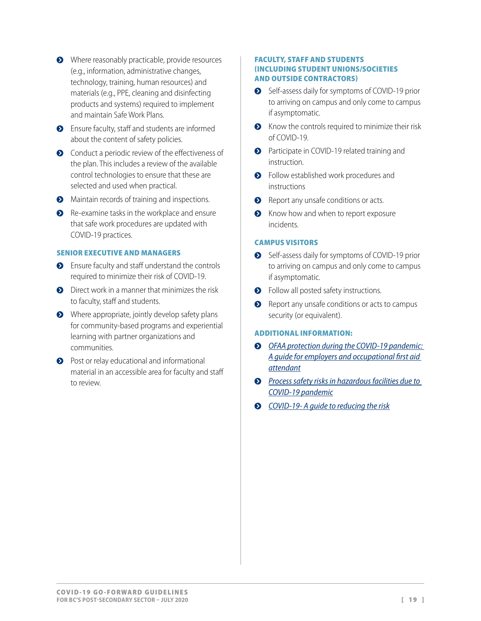- Where reasonably practicable, provide resources (e.g., information, administrative changes, technology, training, human resources) and materials (e.g., PPE, cleaning and disinfecting products and systems) required to implement and maintain Safe Work Plans.
- **•** Ensure faculty, staff and students are informed about the content of safety policies.
- Conduct a periodic review of the effectiveness of the plan. This includes a review of the available control technologies to ensure that these are selected and used when practical.
- **•** Maintain records of training and inspections.
- $\bullet$  Re-examine tasks in the workplace and ensure that safe work procedures are updated with COVID-19 practices.

#### SENIOR EXECUTIVE AND MANAGERS

- **•** Ensure faculty and staff understand the controls required to minimize their risk of COVID-19.
- $\bullet$  Direct work in a manner that minimizes the risk to faculty, staff and students.
- $\bullet$  Where appropriate, jointly develop safety plans for community-based programs and experiential learning with partner organizations and communities.
- **•** Post or relay educational and informational material in an accessible area for faculty and staff to review.

#### FACULTY, STAFF AND STUDENTS (INCLUDING STUDENT UNIONS/SOCIETIES AND OUTSIDE CONTRACTORS)

- Self-assess daily for symptoms of COVID-19 prior to arriving on campus and only come to campus if asymptomatic.
- $\bullet$  Know the controls required to minimize their risk of COVID-19.
- **•** Participate in COVID-19 related training and instruction.
- **•** Follow established work procedures and instructions
- Report any unsafe conditions or acts.
- S Know how and when to report exposure incidents.

### CAMPUS VISITORS

- Self-assess daily for symptoms of COVID-19 prior to arriving on campus and only come to campus if asymptomatic.
- **•** Follow all posted safety instructions.
- **•** Report any unsafe conditions or acts to campus security (or equivalent).

### ADDITIONAL INFORMATION:

- **•** OFAA protection during the COVID-19 pandemic: *[A guide for employers and occupational first aid](https://www.worksafebc.com/en/resources/health-safety/information-sheets/ofaa-protocols-covid-19-pandemic?lang=en)  [attendant](https://www.worksafebc.com/en/resources/health-safety/information-sheets/ofaa-protocols-covid-19-pandemic?lang=en)*
- **•** Process safety risks in hazardous facilities due to *[COVID-19 pandemic](https://www.worksafebc.com/en/resources/health-safety/risk-advisory/process-safety-risks-hazardous-process-facilities-due-to-covid-19-pandemic?lang=en)*
- į *[COVID-19- A guide to reducing the risk](https://www.worksafebc.com/en/resources/health-safety/information-sheets/covid-19-guide-to-reducing-risk?lang=en)*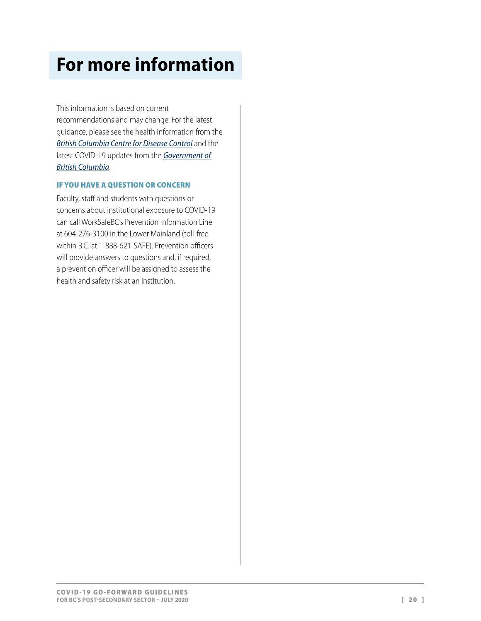# <span id="page-19-0"></span>**For more information**

This information is based on current recommendations and may change. For the latest guidance, please see the health information from the *[British Columbia Centre for Disease Control](http://www.bccdc.ca/health-info/diseases-conditions/covid-19)* and the latest COVID-19 updates from the *[Government of](https://www2.gov.bc.ca/gov/content/safety/emergency-preparedness-response-recovery/covid-19-provincial-support?bcgovtm=20200319_GCPE_AM_COVID_4_NOTIFICATION_BCGOV_BCGOV_EN_BC__NOTIFICATION)  [British Columbia](https://www2.gov.bc.ca/gov/content/safety/emergency-preparedness-response-recovery/covid-19-provincial-support?bcgovtm=20200319_GCPE_AM_COVID_4_NOTIFICATION_BCGOV_BCGOV_EN_BC__NOTIFICATION)*.

### IF YOU HAVE A QUESTION OR CONCERN

Faculty, staff and students with questions or concerns about institutional exposure to COVID-19 can call WorkSafeBC's Prevention Information Line at 604-276-3100 in the Lower Mainland (toll-free within B.C. at 1-888-621-SAFE). Prevention officers will provide answers to questions and, if required, a prevention officer will be assigned to assess the health and safety risk at an institution.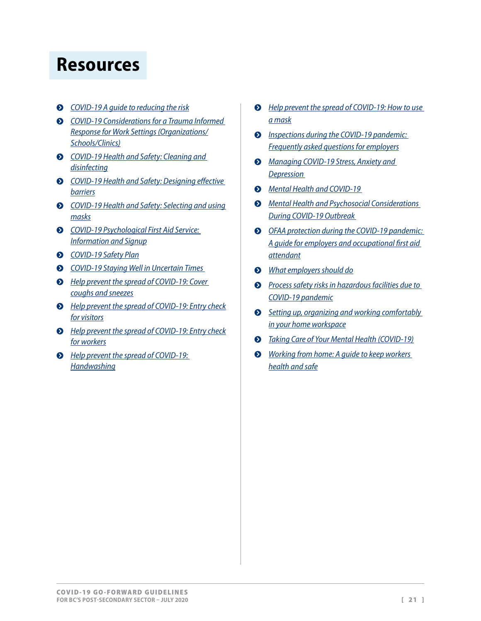# <span id="page-20-0"></span>**Resources**

- į *[COVID-19 A guide to reducing the risk](https://www.worksafebc.com/en/resources/health-safety/information-sheets/covid-19-guide-to-reducing-risk?lang=en)*
- *COVID-19 Considerations for a Trauma Informed [Response for Work Settings \(Organizations/](https://traumainformedoregon.org/wp-content/uploads/2020/03/Considerations-for-COVID-19-Trauma-Informed-Response.pdf) [Schools/Clinics\)](https://traumainformedoregon.org/wp-content/uploads/2020/03/Considerations-for-COVID-19-Trauma-Informed-Response.pdf)*
- į *[COVID-19 Health and Safety: Cleaning and](https://www.worksafebc.com/en/resources/health-safety/information-sheets/covid-19-health-safety-cleaning-disinfecting?lang=en)  [disinfecting](https://www.worksafebc.com/en/resources/health-safety/information-sheets/covid-19-health-safety-cleaning-disinfecting?lang=en)*
- **•** *COVID-19 Health and Safety: Designing effective [barriers](https://www.worksafebc.com/en/resources/health-safety/information-sheets/covid-19-health-safety-designing-effective-barriers?lang=en)*
- į *[COVID-19 Health and Safety: Selecting and using](https://www.worksafebc.com/en/resources/health-safety/information-sheets/covid-19-health-safety-selecting-using-masks?lang=en)  [masks](https://www.worksafebc.com/en/resources/health-safety/information-sheets/covid-19-health-safety-selecting-using-masks?lang=en)*
- į *[COVID-19 Psychological First Aid Service:](https://www.psychologists.bc.ca/covid-19-resources)  [Information and Signup](https://www.psychologists.bc.ca/covid-19-resources)*
- $O$  *[COVID-19 Safety Plan](https://www.worksafebc.com/en/resources/health-safety/checklist/covid-19-safety-plan?lang=en)*
- į *[COVID-19 Staying Well in Uncertain Times](https://cmha.bc.ca/covid-19/)*
- **•** Help prevent the spread of COVID-19: Cover *[coughs and sneezes](https://www.worksafebc.com/en/resources/health-safety/posters/help-prevent-spread-covid-19-cover-coughs-sneezes?lang=en)*
- **•** Help prevent the spread of COVID-19: Entry check *[for visitors](https://www.worksafebc.com/en/resources/health-safety/posters/help-prevent-spread-covid-19-entry-check-visitors?lang=en)*
- **•** Help prevent the spread of COVID-19: Entry check *[for workers](https://www.worksafebc.com/en/resources/health-safety/posters/help-prevent-spread-covid-19-entry-check-workers?lang=en)*
- **•** *Help prevent the spread of COVID-19: [Handwashing](https://www.worksafebc.com/en/resources/health-safety/posters/help-prevent-spread-covid-19-handwashing?lang=en)*
- **•** Help prevent the spread of COVID-19: How to use *[a mask](https://www.worksafebc.com/en/resources/health-safety/posters/help-prevent-spread-covid-19-how-to-use-mask?lang=en)*
- $\odot$  *<u>Inspections during the COVID-19 pandemic:</u> [Frequently asked questions for employers](https://www.worksafebc.com/en/resources/health-safety/information-sheets/inspections-during-covid-19-pandemic-faq-employers?lang=en)*
- į *[Managing COVID-19 Stress, Anxiety and](https://www2.gov.bc.ca/assets/gov/health-safety/covid19_stressmanagement_5_accessible.pdf)  [Depression](https://www2.gov.bc.ca/assets/gov/health-safety/covid19_stressmanagement_5_accessible.pdf)*
- į *[Mental Health and COVID-1](https://www.conferenceboard.ca/insights/covid-19?AspxAutoDetectCookieSupport=1)9*
- $\odot$  *Mental Health and Psychosocial Considerations [During COVID-19 Outbreak](https://www.who.int/docs/default-source/coronaviruse/mental-health-considerations.pdf)*
- $\odot$  OFAA protection during the COVID-19 pandemic: *[A guide for employers and occupational first aid](https://www.worksafebc.com/en/resources/health-safety/information-sheets/ofaa-protocols-covid-19-pandemic?lang=en)  [attendant](https://www.worksafebc.com/en/resources/health-safety/information-sheets/ofaa-protocols-covid-19-pandemic?lang=en)*
- į *[What employers should do](https://www.worksafebc.com/sitecore/content/home/about-us/covid-19-updates/health-and-safety/what-employers-should-do)*
- **•** Process safety risks in hazardous facilities due to *[COVID-19 pandemic](https://www.worksafebc.com/en/resources/health-safety/risk-advisory/process-safety-risks-hazardous-process-facilities-due-to-covid-19-pandemic?lang=en)*
- **•** Setting up, organizing and working comfortably *[in your home workspace](https://www.worksafebc.com/en/resources/health-safety/information-sheets/setting-up-home-workspace?lang=en)*
- į *[Taking Care of Your Mental Health](https://www.canada.ca/en/public-health/services/diseases/2019-novel-coronavirus-infection/mental-health.html) (COVID-19)*
- ◆ *Working from home: A quide to keep workers [health and safe](https://www.worksafebc.com/en/resources/health-safety/information-sheets/working-from-home-guide-keeping-workers-healthy-safe?lang=en)*